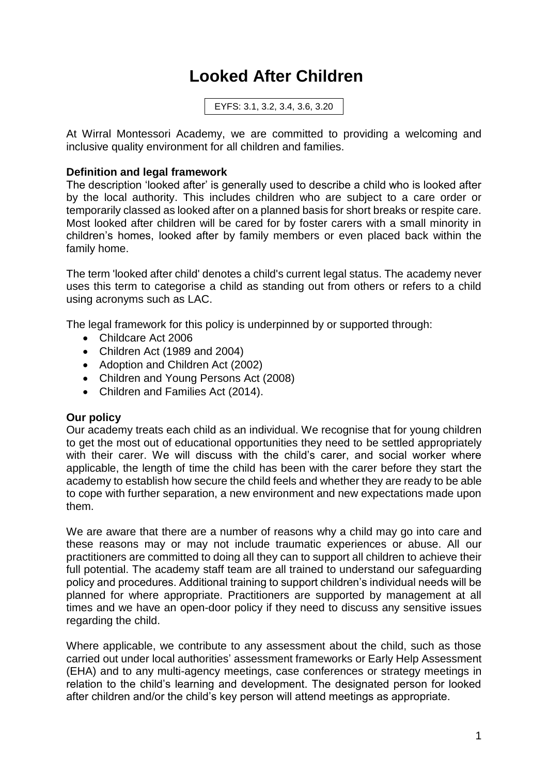# **Looked After Children**

EYFS: 3.1, 3.2, 3.4, 3.6, 3.20

At Wirral Montessori Academy, we are committed to providing a welcoming and inclusive quality environment for all children and families.

#### **Definition and legal framework**

The description 'looked after' is generally used to describe a child who is looked after by the local authority. This includes children who are subject to a care order or temporarily classed as looked after on a planned basis for short breaks or respite care. Most looked after children will be cared for by foster carers with a small minority in children's homes, looked after by family members or even placed back within the family home.

The term 'looked after child' denotes a child's current legal status. The academy never uses this term to categorise a child as standing out from others or refers to a child using acronyms such as LAC.

The legal framework for this policy is underpinned by or supported through:

- Childcare Act 2006
- Children Act (1989 and 2004)
- Adoption and Children Act (2002)
- Children and Young Persons Act (2008)
- Children and Families Act (2014).

#### **Our policy**

Our academy treats each child as an individual. We recognise that for young children to get the most out of educational opportunities they need to be settled appropriately with their carer. We will discuss with the child's carer, and social worker where applicable, the length of time the child has been with the carer before they start the academy to establish how secure the child feels and whether they are ready to be able to cope with further separation, a new environment and new expectations made upon them.

We are aware that there are a number of reasons why a child may go into care and these reasons may or may not include traumatic experiences or abuse. All our practitioners are committed to doing all they can to support all children to achieve their full potential. The academy staff team are all trained to understand our safeguarding policy and procedures. Additional training to support children's individual needs will be planned for where appropriate. Practitioners are supported by management at all times and we have an open-door policy if they need to discuss any sensitive issues regarding the child.

Where applicable, we contribute to any assessment about the child, such as those carried out under local authorities' assessment frameworks or Early Help Assessment (EHA) and to any multi-agency meetings, case conferences or strategy meetings in relation to the child's learning and development. The designated person for looked after children and/or the child's key person will attend meetings as appropriate.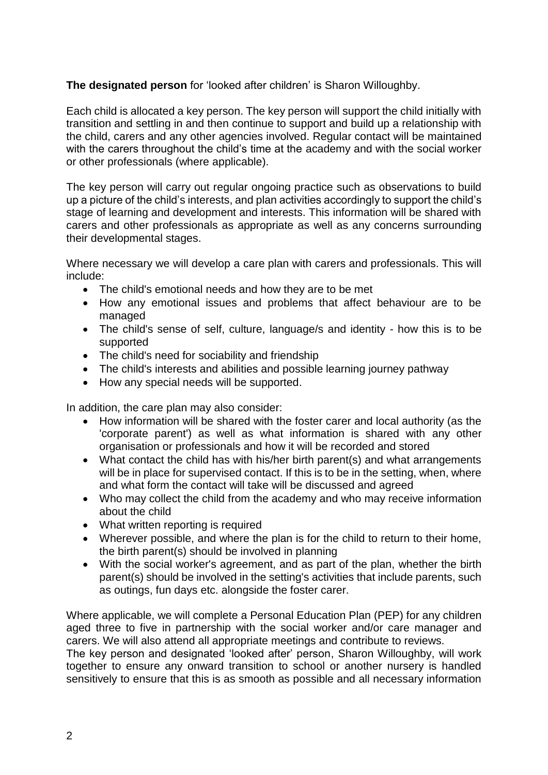### **The designated person** for 'looked after children' is Sharon Willoughby.

Each child is allocated a key person. The key person will support the child initially with transition and settling in and then continue to support and build up a relationship with the child, carers and any other agencies involved. Regular contact will be maintained with the carers throughout the child's time at the academy and with the social worker or other professionals (where applicable).

The key person will carry out regular ongoing practice such as observations to build up a picture of the child's interests, and plan activities accordingly to support the child's stage of learning and development and interests. This information will be shared with carers and other professionals as appropriate as well as any concerns surrounding their developmental stages.

Where necessary we will develop a care plan with carers and professionals. This will include:

- The child's emotional needs and how they are to be met
- How any emotional issues and problems that affect behaviour are to be managed
- The child's sense of self, culture, language/s and identity how this is to be supported
- The child's need for sociability and friendship
- The child's interests and abilities and possible learning journey pathway
- How any special needs will be supported.

In addition, the care plan may also consider:

- How information will be shared with the foster carer and local authority (as the 'corporate parent') as well as what information is shared with any other organisation or professionals and how it will be recorded and stored
- What contact the child has with his/her birth parent(s) and what arrangements will be in place for supervised contact. If this is to be in the setting, when, where and what form the contact will take will be discussed and agreed
- Who may collect the child from the academy and who may receive information about the child
- What written reporting is required
- Wherever possible, and where the plan is for the child to return to their home, the birth parent(s) should be involved in planning
- With the social worker's agreement, and as part of the plan, whether the birth parent(s) should be involved in the setting's activities that include parents, such as outings, fun days etc. alongside the foster carer.

Where applicable, we will complete a Personal Education Plan (PEP) for any children aged three to five in partnership with the social worker and/or care manager and carers. We will also attend all appropriate meetings and contribute to reviews.

The key person and designated 'looked after' person, Sharon Willoughby, will work together to ensure any onward transition to school or another nursery is handled sensitively to ensure that this is as smooth as possible and all necessary information